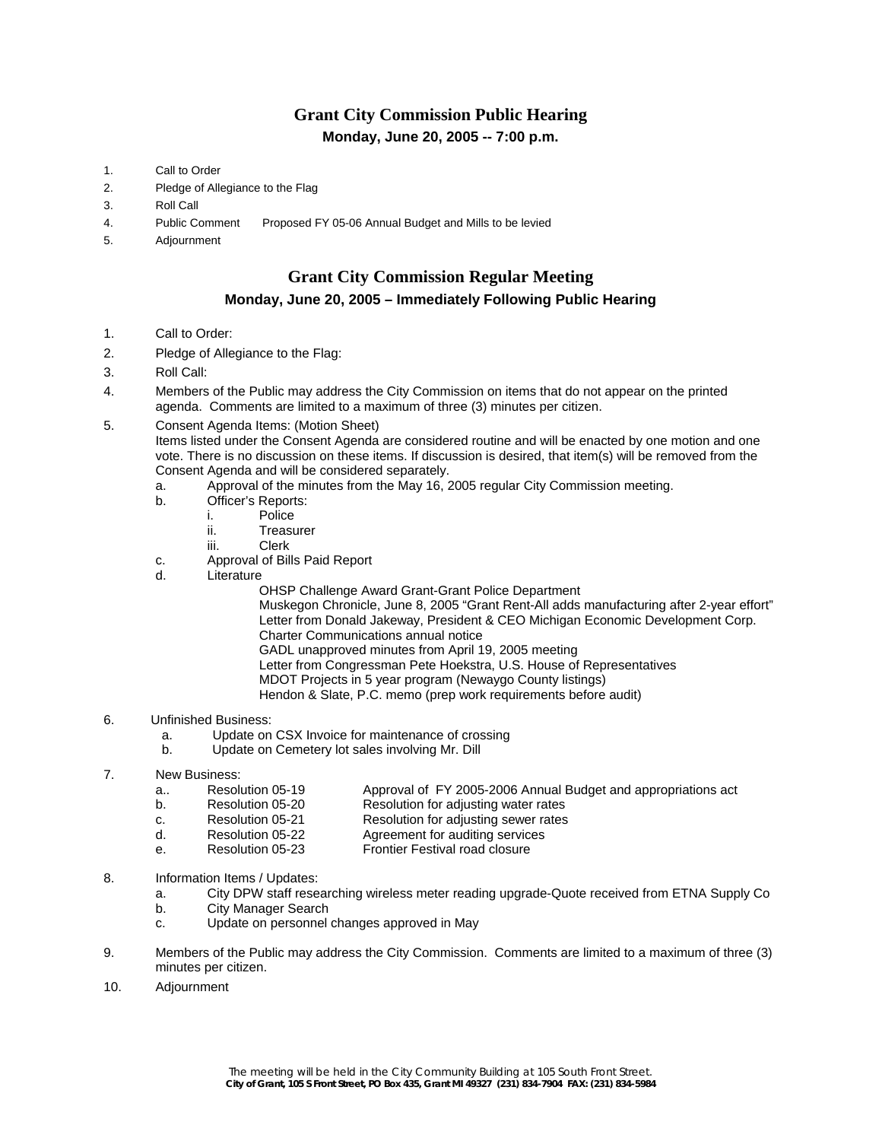# **Grant City Commission Public Hearing Monday, June 20, 2005 -- 7:00 p.m.**

- 1. Call to Order
- 2. Pledge of Allegiance to the Flag
- 3. Roll Call
- 4. Public Comment Proposed FY 05-06 Annual Budget and Mills to be levied
- 5. Adjournment

# **Grant City Commission Regular Meeting**

### **Monday, June 20, 2005 – Immediately Following Public Hearing**

- 1. Call to Order:
- 2. Pledge of Allegiance to the Flag:
- 3. Roll Call:
- 4. Members of the Public may address the City Commission on items that do not appear on the printed agenda. Comments are limited to a maximum of three (3) minutes per citizen.
- 5. Consent Agenda Items: (Motion Sheet)

Items listed under the Consent Agenda are considered routine and will be enacted by one motion and one vote. There is no discussion on these items. If discussion is desired, that item(s) will be removed from the Consent Agenda and will be considered separately.

- a. Approval of the minutes from the May 16, 2005 regular City Commission meeting.
- b. Officer's Reports:
	- i. Police
		- ii. Treasurer
		- iii. Clerk
- c. Approval of Bills Paid Report
- d. Literature
	- OHSP Challenge Award Grant-Grant Police Department
		- Muskegon Chronicle, June 8, 2005 "Grant Rent-All adds manufacturing after 2-year effort" Letter from Donald Jakeway, President & CEO Michigan Economic Development Corp. Charter Communications annual notice
		- GADL unapproved minutes from April 19, 2005 meeting
	- Letter from Congressman Pete Hoekstra, U.S. House of Representatives
		- MDOT Projects in 5 year program (Newaygo County listings)
		- Hendon & Slate, P.C. memo (prep work requirements before audit)

#### 6. Unfinished Business:

- a. Update on CSX Invoice for maintenance of crossing
- b. Update on Cemetery lot sales involving Mr. Dill
- 7. New Business:
	- a.. Resolution 05-19 Approval of FY 2005-2006 Annual Budget and appropriations act
	- b. Resolution 05-20 Resolution for adjusting water rates
	- c. Resolution 05-21 Resolution for adjusting sewer rates
	- d. Resolution 05-22 Agreement for auditing services
	- e. Resolution 05-23 Frontier Festival road closure
- 8. Information Items / Updates:
	- a. City DPW staff researching wireless meter reading upgrade-Quote received from ETNA Supply Co
	- b. City Manager Search
	- c. Update on personnel changes approved in May
- 9. Members of the Public may address the City Commission. Comments are limited to a maximum of three (3) minutes per citizen.
- 10. Adjournment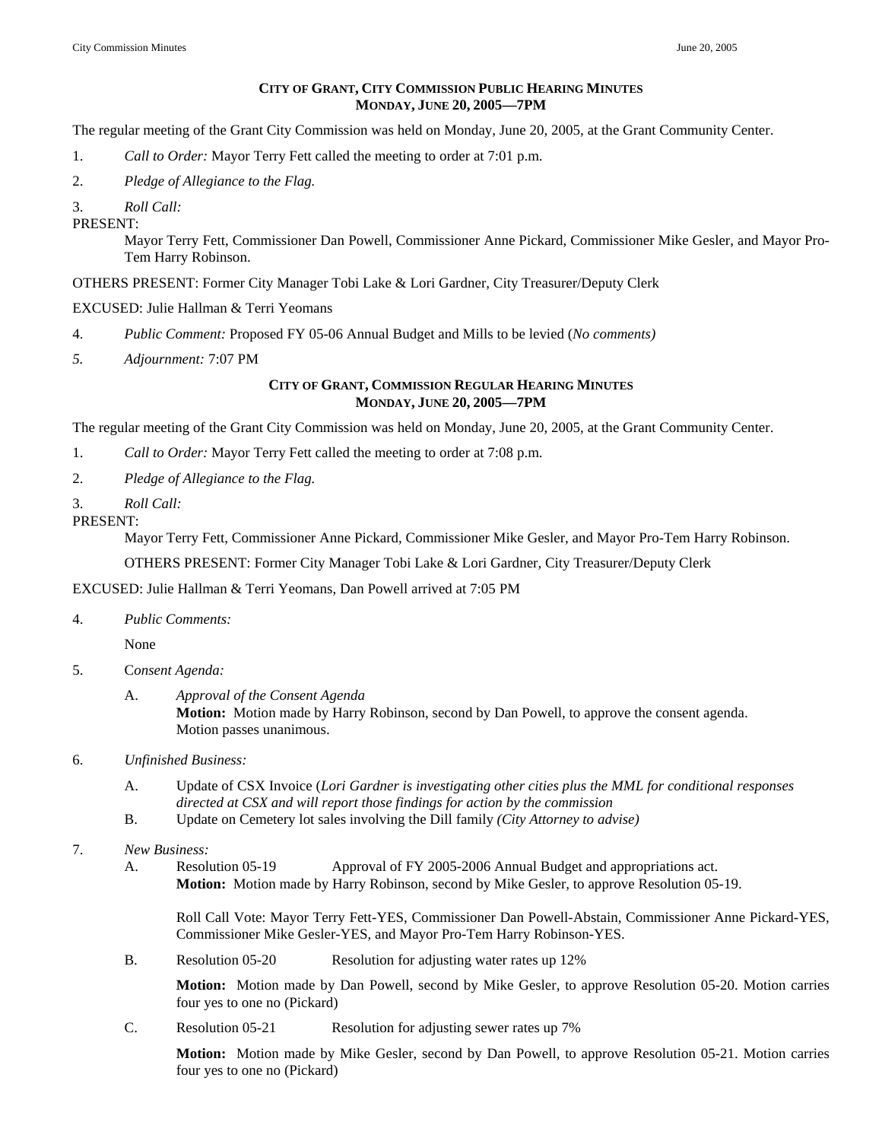#### **CITY OF GRANT, CITY COMMISSION PUBLIC HEARING MINUTES MONDAY, JUNE 20, 2005—7PM**

The regular meeting of the Grant City Commission was held on Monday, June 20, 2005, at the Grant Community Center.

- 1. *Call to Order:* Mayor Terry Fett called the meeting to order at 7:01 p.m.
- 2. *Pledge of Allegiance to the Flag.*
- 3. *Roll Call:*

PRESENT:

Mayor Terry Fett, Commissioner Dan Powell, Commissioner Anne Pickard, Commissioner Mike Gesler, and Mayor Pro-Tem Harry Robinson.

OTHERS PRESENT: Former City Manager Tobi Lake & Lori Gardner, City Treasurer/Deputy Clerk

## EXCUSED: Julie Hallman & Terri Yeomans

- 4. *Public Comment:* Proposed FY 05-06 Annual Budget and Mills to be levied (*No comments)*
- *5. Adjournment:* 7:07 PM

### **CITY OF GRANT, COMMISSION REGULAR HEARING MINUTES MONDAY, JUNE 20, 2005—7PM**

The regular meeting of the Grant City Commission was held on Monday, June 20, 2005, at the Grant Community Center.

- 1. *Call to Order:* Mayor Terry Fett called the meeting to order at 7:08 p.m.
- 2. *Pledge of Allegiance to the Flag.*
- 3. *Roll Call:*
- PRESENT:

Mayor Terry Fett, Commissioner Anne Pickard, Commissioner Mike Gesler, and Mayor Pro-Tem Harry Robinson.

OTHERS PRESENT: Former City Manager Tobi Lake & Lori Gardner, City Treasurer/Deputy Clerk

#### EXCUSED: Julie Hallman & Terri Yeomans, Dan Powell arrived at 7:05 PM

4. *Public Comments:* 

None

- 5. C*onsent Agenda:*
	- A. *Approval of the Consent Agenda*  **Motion:** Motion made by Harry Robinson, second by Dan Powell, to approve the consent agenda. Motion passes unanimous.
- 6. *Unfinished Business:*
	- A. Update of CSX Invoice (*Lori Gardner is investigating other cities plus the MML for conditional responses directed at CSX and will report those findings for action by the commission*
	- B. Update on Cemetery lot sales involving the Dill family *(City Attorney to advise)*

# 7. *New Business:*

A. Resolution 05-19 Approval of FY 2005-2006 Annual Budget and appropriations act. **Motion:** Motion made by Harry Robinson, second by Mike Gesler, to approve Resolution 05-19.

Roll Call Vote: Mayor Terry Fett-YES, Commissioner Dan Powell-Abstain, Commissioner Anne Pickard-YES, Commissioner Mike Gesler-YES, and Mayor Pro-Tem Harry Robinson-YES.

B. Resolution 05-20 Resolution for adjusting water rates up 12%

**Motion:** Motion made by Dan Powell, second by Mike Gesler, to approve Resolution 05-20. Motion carries four yes to one no (Pickard)

C. Resolution 05-21 Resolution for adjusting sewer rates up 7%

**Motion:** Motion made by Mike Gesler, second by Dan Powell, to approve Resolution 05-21. Motion carries four yes to one no (Pickard)